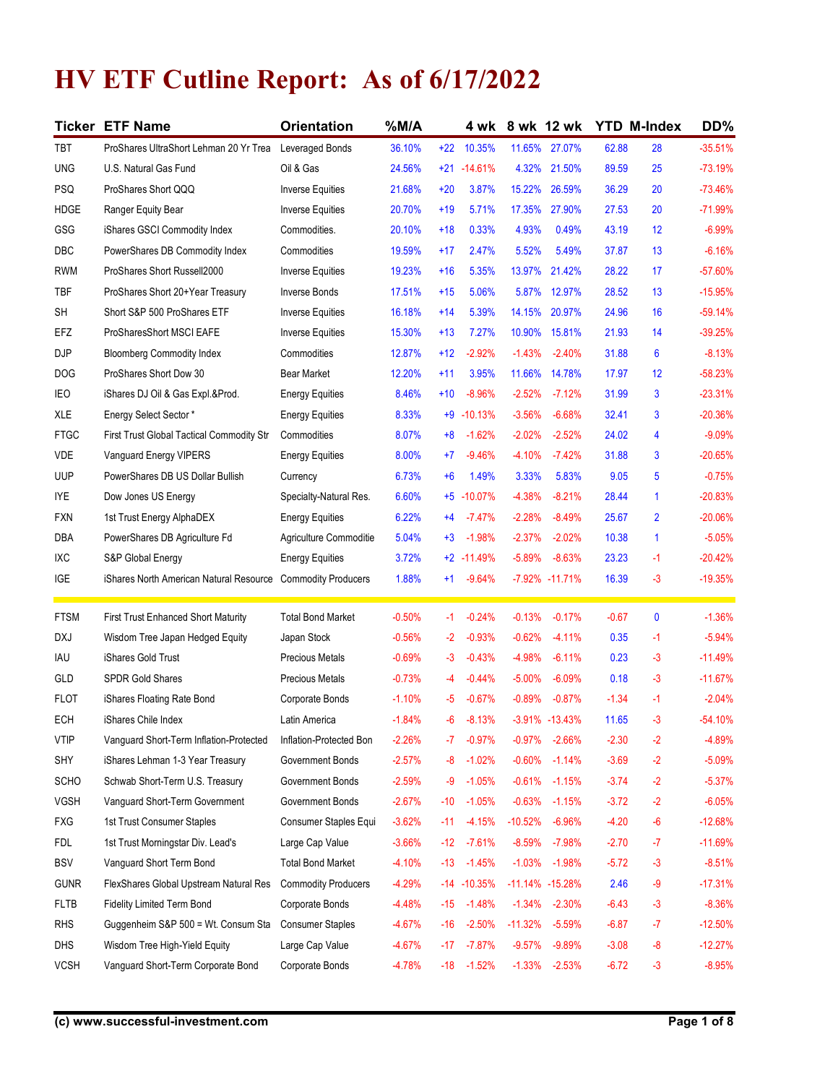## HV ETF Cutline Report: As of 6/17/2022

|                          | <b>Ticker ETF Name</b>                                              | <b>Orientation</b>                       | $%$ M/A              |       |                          | 4 wk 8 wk 12 wk                |          | <b>YTD M-Index</b> |                 | DD%                  |
|--------------------------|---------------------------------------------------------------------|------------------------------------------|----------------------|-------|--------------------------|--------------------------------|----------|--------------------|-----------------|----------------------|
| TBT                      | ProShares UltraShort Lehman 20 Yr Trea                              | Leveraged Bonds                          | 36.10%               |       | +22 10.35%               | 11.65% 27.07%                  |          | 62.88              | 28              | $-35.51%$            |
|                          | U.S. Natural Gas Fund                                               | Oil & Gas                                | 24.56%               |       |                          | 4.32% 21.50%                   |          | 89.59              | 25              | $-73.19%$            |
| <b>UNG</b><br><b>PSQ</b> | ProShares Short QQQ                                                 | <b>Inverse Equities</b>                  | 21.68%               | $+20$ | $+21 - 14.61%$<br>3.87%  | 15.22% 26.59%                  |          | 36.29              | 20              | $-73.46%$            |
| <b>HDGE</b>              | Ranger Equity Bear                                                  | <b>Inverse Equities</b>                  | 20.70%               | $+19$ | 5.71%                    | 17.35%                         | 27.90%   | 27.53              | 20              | $-71.99%$            |
| <b>GSG</b>               | iShares GSCI Commodity Index                                        | Commodities.                             | 20.10%               | $+18$ | 0.33%                    | 4.93%                          | 0.49%    | 43.19              | 12              | $-6.99%$             |
| <b>DBC</b>               | PowerShares DB Commodity Index                                      | Commodities                              | 19.59%               | $+17$ | 2.47%                    | 5.52%                          | 5.49%    | 37.87              | 13              | $-6.16%$             |
| <b>RWM</b>               | ProShares Short Russell2000                                         | <b>Inverse Equities</b>                  | 19.23%               | $+16$ | 5.35%                    | 13.97% 21.42%                  |          | 28.22              | 17              | $-57.60%$            |
| TBF                      | ProShares Short 20+Year Treasury                                    | Inverse Bonds                            | 17.51%               | $+15$ | 5.06%                    | 5.87%                          | 12.97%   | 28.52              | 13              | $-15.95%$            |
| SH                       | Short S&P 500 ProShares ETF                                         | Inverse Equities                         | 16.18%               | $+14$ | 5.39%                    | 14.15% 20.97%                  |          | 24.96              | 16              | $-59.14%$            |
| EFZ                      | ProSharesShort MSCI EAFE                                            | <b>Inverse Equities</b>                  | 15.30%               | $+13$ | 7.27%                    | 10.90%                         | 15.81%   | 21.93              | 14              | $-39.25%$            |
| <b>DJP</b>               | <b>Bloomberg Commodity Index</b>                                    | Commodities                              | 12.87%               | $+12$ | $-2.92%$                 | $-1.43%$                       | $-2.40%$ | 31.88              | $6\overline{6}$ | $-8.13%$             |
| DOG                      | ProShares Short Dow 30                                              | <b>Bear Market</b>                       | 12.20%               | $+11$ | 3.95%                    | 11.66%                         | 14.78%   | 17.97              | 12              | $-58.23%$            |
| IEO                      | iShares DJ Oil & Gas Expl.&Prod.                                    | <b>Energy Equities</b>                   | 8.46%                | $+10$ | $-8.96%$                 | $-2.52%$                       | $-7.12%$ | 31.99              | $\overline{3}$  | $-23.31%$            |
| XLE                      | Energy Select Sector *                                              | <b>Energy Equities</b>                   | 8.33%                |       | $+9 - 10.13%$            | $-3.56%$                       | $-6.68%$ | 32.41              | $\mathbf{3}$    | $-20.36%$            |
| <b>FTGC</b>              | First Trust Global Tactical Commodity Str                           | Commodities                              | 8.07%                |       | $+8$ -1.62%              | $-2.02%$                       | $-2.52%$ | 24.02              | $\overline{4}$  | $-9.09%$             |
| VDE                      | Vanguard Energy VIPERS                                              | <b>Energy Equities</b>                   | 8.00%                | $+7$  | $-9.46%$                 | $-4.10%$                       | $-7.42%$ | 31.88              | $\mathbf{3}$    | $-20.65%$            |
| <b>UUP</b>               | PowerShares DB US Dollar Bullish                                    | Currency                                 | 6.73%                | $+6$  | 1.49%                    | 3.33%                          | 5.83%    | 9.05               | $5\phantom{.0}$ | $-0.75%$             |
| <b>IYE</b>               | Dow Jones US Energy                                                 | Specialty-Natural Res.                   | 6.60%                |       | $+5$ -10.07%             | $-4.38%$                       | $-8.21%$ | 28.44              | $\mathbf{1}$    | $-20.83%$            |
| <b>FXN</b>               | 1st Trust Energy AlphaDEX                                           | <b>Energy Equities</b>                   | 6.22%                |       | $+4$ $-7.47\%$           | $-2.28%$                       | $-8.49%$ | 25.67              | $\overline{2}$  | $-20.06%$            |
| DBA                      | PowerShares DB Agriculture Fd                                       | Agriculture Commoditie                   | 5.04%                |       | $+3$ -1.98%              | $-2.37%$                       | $-2.02%$ | 10.38              | $\mathbf{1}$    | $-5.05%$             |
| IXC                      | S&P Global Energy                                                   | <b>Energy Equities</b>                   | 3.72%                |       | $+2$ -11.49%             | $-5.89%$                       | $-8.63%$ | 23.23              | $-1$            | $-20.42%$            |
| IGE                      | iShares North American Natural Resource                             | <b>Commodity Producers</b>               | 1.88%                | $+1$  | $-9.64%$                 | -7.92% -11.71%                 |          | 16.39              | $-3$            | $-19.35%$            |
| <b>FTSM</b>              | <b>First Trust Enhanced Short Maturity</b>                          | <b>Total Bond Market</b>                 | $-0.50%$             | $-1$  | $-0.24%$                 | $-0.13%$                       | $-0.17%$ | $-0.67$            | $\mathbf 0$     | $-1.36%$             |
| DXJ                      | Wisdom Tree Japan Hedged Equity                                     | Japan Stock                              | $-0.56%$             | $-2$  | $-0.93%$                 | $-0.62%$                       | $-4.11%$ | 0.35               | $-1$            | $-5.94%$             |
| IAU                      | iShares Gold Trust                                                  | Precious Metals                          | $-0.69%$             |       | $-3 - 0.43%$             | $-4.98%$                       | $-6.11%$ | 0.23               | $-3$            | $-11.49%$            |
| GLD                      | <b>SPDR Gold Shares</b>                                             | Precious Metals                          | $-0.73%$             | -4    | $-0.44%$                 | $-5.00%$                       | $-6.09%$ | 0.18               | $-3$            | $-11.67%$            |
| <b>FLOT</b>              | iShares Floating Rate Bond                                          | Corporate Bonds                          | $-1.10%$             |       | $-5 - 0.67%$             | $-0.89%$                       | $-0.87%$ | $-1.34$            | $-1$            | $-2.04%$             |
| ECH<br><b>VTIP</b>       | iShares Chile Index                                                 | Latin America<br>Inflation-Protected Bon | $-1.84%$             | $-6$  | $-8.13%$<br>$-7 - 0.97%$ | $-3.91\% -13.43\%$<br>$-0.97%$ | $-2.66%$ | 11.65              | $-3$<br>$-2$    | $-54.10%$            |
| SHY                      | Vanguard Short-Term Inflation-Protected                             | Government Bonds                         | $-2.26%$<br>$-2.57%$ | $-8$  | $-1.02%$                 | $-0.60%$                       | $-1.14%$ | $-2.30$<br>$-3.69$ | $-2$            | $-4.89%$<br>$-5.09%$ |
| <b>SCHO</b>              | iShares Lehman 1-3 Year Treasury<br>Schwab Short-Term U.S. Treasury | Government Bonds                         | $-2.59%$             |       | $-9 - 1.05%$             | $-0.61\% -1.15\%$              |          | $-3.74$            | $-2$            | $-5.37%$             |
| <b>VGSH</b>              | Vanguard Short-Term Government                                      | Government Bonds                         | $-2.67%$             | $-10$ | $-1.05%$                 | $-0.63%$                       | $-1.15%$ | $-3.72$            | $-2$            | $-6.05%$             |
| FXG                      | 1st Trust Consumer Staples                                          | Consumer Staples Equi                    | $-3.62%$             |       | $-11 - 4.15%$            | $-10.52%$                      | $-6.96%$ | $-4.20$            | $-6$            | $-12.68%$            |
| <b>FDL</b>               | 1st Trust Morningstar Div. Lead's                                   | Large Cap Value                          | $-3.66%$             | $-12$ | $-7.61%$                 | $-8.59%$                       | $-7.98%$ | $-2.70$            | $-7$            | $-11.69%$            |
| <b>BSV</b>               | Vanguard Short Term Bond                                            | <b>Total Bond Market</b>                 | $-4.10%$             |       | $-13 - 1.45%$            | $-1.03%$                       | $-1.98%$ | $-5.72$            | $-3$            | $-8.51%$             |
| <b>GUNR</b>              | FlexShares Global Upstream Natural Res                              | <b>Commodity Producers</b>               | $-4.29%$             |       | $-14 - 10.35\%$          | -11.14% -15.28%                |          | 2.46               | $-9$            | $-17.31%$            |
| <b>FLTB</b>              | Fidelity Limited Term Bond                                          | Corporate Bonds                          | $-4.48%$             |       | $-15 - 1.48%$            | $-1.34%$                       | $-2.30%$ | $-6.43$            | $-3$            | $-8.36%$             |
| <b>RHS</b>               | Guggenheim S&P 500 = Wt. Consum Sta                                 | <b>Consumer Staples</b>                  | $-4.67%$             | $-16$ | $-2.50%$                 | $-11.32%$                      | $-5.59%$ | $-6.87$            | $-7$            | $-12.50%$            |
| <b>DHS</b>               | Wisdom Tree High-Yield Equity                                       | Large Cap Value                          | $-4.67%$             |       | $-17 - 7.87%$            | $-9.57%$                       | $-9.89%$ | $-3.08$            | -8              | $-12.27%$            |
| <b>VCSH</b>              | Vanguard Short-Term Corporate Bond                                  | Corporate Bonds                          | $-4.78%$             | $-18$ | $-1.52\%$                | $-1.33%$                       | $-2.53%$ | $-6.72$            | $-3$            | $-8.95%$             |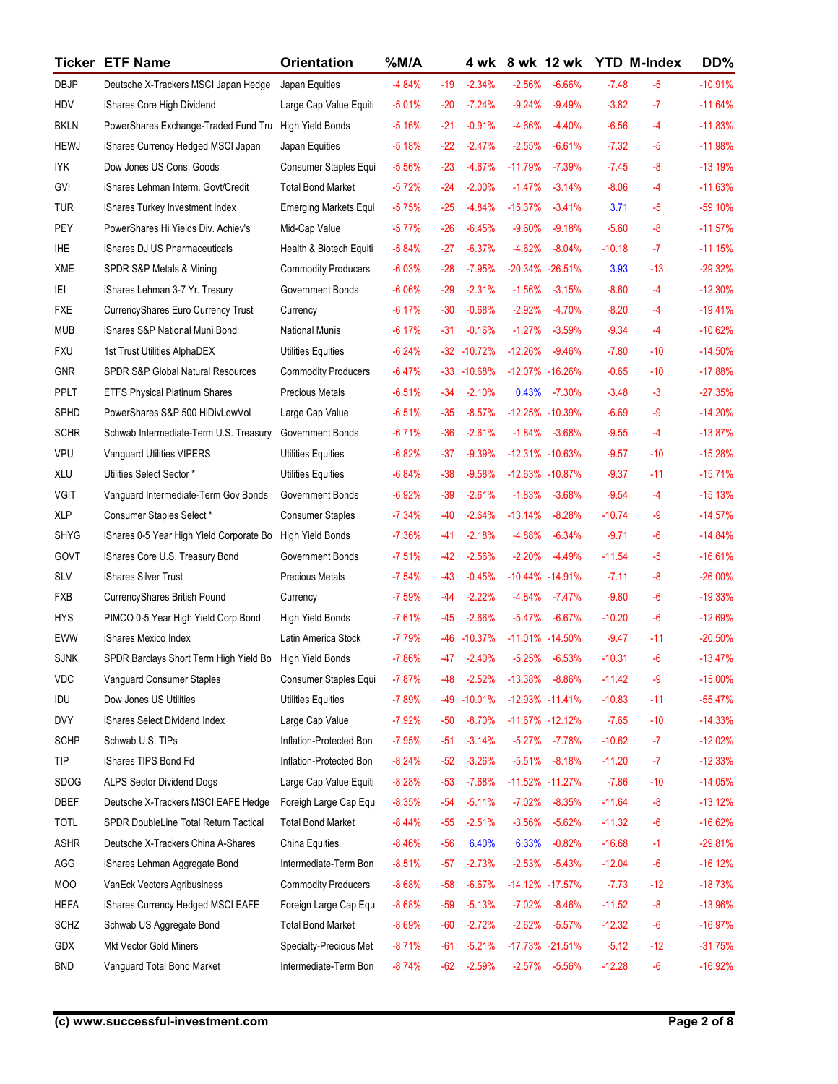|                           | <b>Ticker ETF Name</b>                                                    | <b>Orientation</b>                                | $%$ M/A              |                |                      |                            | 4 wk 8 wk 12 wk             | <b>YTD M-Index</b>   |               | DD%                    |
|---------------------------|---------------------------------------------------------------------------|---------------------------------------------------|----------------------|----------------|----------------------|----------------------------|-----------------------------|----------------------|---------------|------------------------|
| <b>DBJP</b>               | Deutsche X-Trackers MSCI Japan Hedge                                      | Japan Equities                                    | $-4.84%$             | $-19$          | $-2.34%$             | $-2.56%$                   | $-6.66%$                    | $-7.48$              | $-5$          | $-10.91%$              |
| HDV                       | iShares Core High Dividend                                                | Large Cap Value Equiti                            | $-5.01%$             | $-20$          | $-7.24%$             | $-9.24%$                   | $-9.49%$                    | $-3.82$              | $-7$          | $-11.64%$              |
| <b>BKLN</b>               | PowerShares Exchange-Traded Fund Tru                                      | <b>High Yield Bonds</b>                           | $-5.16%$             | $-21$          | $-0.91%$             | $-4.66%$                   | $-4.40%$                    | $-6.56$              | $-4$          | $-11.83%$              |
| <b>HEWJ</b>               | iShares Currency Hedged MSCI Japan                                        | Japan Equities                                    | $-5.18%$             | $-22$          | $-2.47%$             | $-2.55%$                   | $-6.61%$                    | $-7.32$              | $-5$          | $-11.98%$              |
| <b>IYK</b>                | Dow Jones US Cons. Goods                                                  | Consumer Staples Equi                             | $-5.56%$             | $-23$          | $-4.67%$             | $-11.79%$                  | -7.39%                      | $-7.45$              | $-8$          | $-13.19%$              |
| GVI<br><b>TUR</b>         | iShares Lehman Interm. Govt/Credit<br>iShares Turkey Investment Index     | <b>Total Bond Market</b><br>Emerging Markets Equi | $-5.72%$<br>$-5.75%$ | $-24$<br>$-25$ | $-2.00%$<br>-4.84%   | $-1.47\%$<br>-15.37%       | $-3.14%$<br>$-3.41%$        | $-8.06$<br>3.71      | $-4$<br>$-5$  | $-11.63%$<br>$-59.10%$ |
| PEY                       | PowerShares Hi Yields Div. Achiev's                                       | Mid-Cap Value                                     | $-5.77%$             | $-26$          | $-6.45%$             | $-9.60%$                   | $-9.18%$                    | $-5.60$              | $-8$          | $-11.57%$              |
| <b>IHE</b>                | iShares DJ US Pharmaceuticals                                             | Health & Biotech Equiti                           | $-5.84%$             | $-27$          | $-6.37%$             | $-4.62%$                   | $-8.04%$                    | $-10.18$             | $-7$          | $-11.15%$              |
| <b>XME</b>                | SPDR S&P Metals & Mining                                                  | <b>Commodity Producers</b>                        | $-6.03%$             | $-28$          | $-7.95%$             |                            | $-20.34\% -26.51\%$         | 3.93                 | $-13$         | $-29.32%$              |
| ΙEΙ                       | iShares Lehman 3-7 Yr. Tresury                                            | Government Bonds                                  | $-6.06%$             | $-29$          | $-2.31%$             | $-1.56%$                   | $-3.15%$                    | $-8.60$              | $-4$          | $-12.30%$              |
| <b>FXE</b>                | CurrencyShares Euro Currency Trust                                        | Currency                                          | $-6.17%$             | $-30$          | $-0.68%$             | $-2.92%$                   | $-4.70%$                    | $-8.20$              | $-4$          | $-19.41%$              |
| <b>MUB</b>                | iShares S&P National Muni Bond                                            | <b>National Munis</b>                             | $-6.17%$             | $-31$          | $-0.16%$             | $-1.27%$                   | $-3.59%$                    | $-9.34$              | $-4$          | $-10.62%$              |
| <b>FXU</b>                | 1st Trust Utilities AlphaDEX                                              | <b>Utilities Equities</b>                         | $-6.24%$             |                | $-32 - 10.72%$       | $-12.26%$                  | $-9.46%$                    | $-7.80$              | $-10$         | $-14.50%$              |
| <b>GNR</b>                | <b>SPDR S&amp;P Global Natural Resources</b>                              | <b>Commodity Producers</b>                        | $-6.47%$             |                | $-33 - 10.68\%$      |                            | -12.07% -16.26%             | $-0.65$              | $-10$         | $-17.88%$              |
| PPLT                      | <b>ETFS Physical Platinum Shares</b>                                      | Precious Metals                                   | $-6.51%$             | $-34$          | $-2.10%$             | 0.43%                      | $-7.30%$                    | $-3.48$              | $-3$          | $-27.35%$              |
| SPHD                      | PowerShares S&P 500 HiDivLowVol<br>Schwab Intermediate-Term U.S. Treasury | Large Cap Value<br>Government Bonds               | $-6.51%$<br>$-6.71%$ | $-35$<br>$-36$ | $-8.57%$<br>$-2.61%$ | $-1.84%$                   | -12.25% -10.39%<br>$-3.68%$ | $-6.69$<br>$-9.55$   | $-9$<br>$-4$  | $-14.20%$<br>$-13.87%$ |
| <b>SCHR</b><br><b>VPU</b> | Vanguard Utilities VIPERS                                                 | Utilities Equities                                | $-6.82%$             | $-37$          | $-9.39%$             |                            | -12.31% -10.63%             | $-9.57$              | $-10$         | $-15.28%$              |
| XLU                       | Utilities Select Sector *                                                 | <b>Utilities Equities</b>                         | $-6.84%$             | $-38$          | $-9.58%$             |                            | -12.63% -10.87%             | $-9.37$              | $-11$         | $-15.71%$              |
| <b>VGIT</b>               | Vanguard Intermediate-Term Gov Bonds                                      | Government Bonds                                  | $-6.92%$             | $-39$          | $-2.61%$             | $-1.83%$                   | $-3.68%$                    | $-9.54$              | $-4$          | $-15.13%$              |
| <b>XLP</b>                | Consumer Staples Select*                                                  | <b>Consumer Staples</b>                           | $-7.34%$             | $-40$          | $-2.64%$             | $-13.14%$                  | $-8.28%$                    | $-10.74$             | -9            | $-14.57%$              |
| <b>SHYG</b>               | iShares 0-5 Year High Yield Corporate Bo                                  | High Yield Bonds                                  | $-7.36%$             | $-41$          | $-2.18%$             | $-4.88%$                   | $-6.34%$                    | $-9.71$              | $-6$          | $-14.84%$              |
| GOVT                      | iShares Core U.S. Treasury Bond                                           | Government Bonds                                  | $-7.51%$             | $-42$          | $-2.56%$             | $-2.20%$                   | $-4.49%$                    | $-11.54$             | $-5$          | $-16.61%$              |
| SLV                       | iShares Silver Trust                                                      | <b>Precious Metals</b>                            | $-7.54%$             | $-43$          | $-0.45%$             |                            | $-10.44\% -14.91\%$         | $-7.11$              | -8            | $-26.00%$              |
| FXB                       | CurrencyShares British Pound                                              | Currency                                          | $-7.59%$             | $-44$          | $-2.22%$             | $-4.84%$                   | $-7.47%$                    | $-9.80$              | $-6$          | $-19.33%$              |
| <b>HYS</b>                | PIMCO 0-5 Year High Yield Corp Bond                                       | High Yield Bonds                                  | $-7.61%$             | $-45$          | $-2.66%$             | $-5.47%$                   | $-6.67%$                    | $-10.20$             | $-6$          | $-12.69%$              |
| EWW                       | iShares Mexico Index                                                      | Latin America Stock                               | $-7.79%$             |                | -46 -10.37%          |                            | -11.01% -14.50%             | $-9.47$              | $-11$         | $-20.50%$              |
| <b>SJNK</b>               | SPDR Barclays Short Term High Yield Bo                                    | <b>High Yield Bonds</b>                           | $-7.86%$             | $-47$<br>$-48$ | $-2.40%$<br>$-2.52%$ | $-5.25%$                   | $-6.53%$<br>$-8.86%$        | $-10.31$             | $-6$          | $-13.47%$              |
| VDC<br>IDU                | Vanguard Consumer Staples<br>Dow Jones US Utilities                       | Consumer Staples Equi<br>Utilities Equities       | $-7.87%$<br>$-7.89%$ |                | -49 -10.01%          | $-13.38%$                  | $-12.93\% -11.41\%$         | $-11.42$<br>$-10.83$ | $-9$<br>$-11$ | $-15.00%$<br>$-55.47%$ |
| <b>DVY</b>                | iShares Select Dividend Index                                             | Large Cap Value                                   | $-7.92%$             | $-50$          | $-8.70%$             |                            | $-11.67\% -12.12\%$         | $-7.65$              | $-10$         | $-14.33%$              |
| <b>SCHP</b>               | Schwab U.S. TIPs                                                          | Inflation-Protected Bon                           | $-7.95%$             | $-51$          | $-3.14%$             |                            | $-5.27\% -7.78\%$           | $-10.62$             | $-7$          | $-12.02%$              |
| TIP                       | iShares TIPS Bond Fd                                                      | Inflation-Protected Bon                           | $-8.24%$             | $-52$          | $-3.26%$             | $-5.51%$                   | $-8.18%$                    | $-11.20$             | $-7$          | $-12.33%$              |
| <b>SDOG</b>               | <b>ALPS Sector Dividend Dogs</b>                                          | Large Cap Value Equiti                            | $-8.28%$             | $-53$          | $-7.68%$             |                            | -11.52% -11.27%             | $-7.86$              | $-10$         | $-14.05%$              |
| DBEF                      | Deutsche X-Trackers MSCI EAFE Hedge                                       | Foreigh Large Cap Equ                             | $-8.35%$             | $-54$          | $-5.11%$             | $-7.02%$                   | $-8.35%$                    | $-11.64$             | $-8$          | $-13.12%$              |
| <b>TOTL</b>               | SPDR DoubleLine Total Return Tactical                                     | <b>Total Bond Market</b>                          | $-8.44%$             | $-55$          | $-2.51%$             | $-3.56%$                   | $-5.62%$                    | $-11.32$             | $-6$          | $-16.62%$              |
| <b>ASHR</b>               | Deutsche X-Trackers China A-Shares                                        | China Equities                                    | $-8.46%$             | $-56$          | 6.40%                | 6.33%                      | $-0.82%$                    | $-16.68$             | $-1$          | $-29.81%$              |
| AGG                       | iShares Lehman Aggregate Bond                                             | Intermediate-Term Bon                             | $-8.51%$             | $-57$          | $-2.73%$             | $-2.53%$                   | $-5.43%$                    | $-12.04$             | $-6$          | $-16.12%$              |
| <b>MOO</b>                | VanEck Vectors Agribusiness                                               | <b>Commodity Producers</b>                        | $-8.68%$             | $-58$          | $-6.67%$             |                            | -14.12% -17.57%             | $-7.73$              | $-12$         | $-18.73%$              |
| <b>HEFA</b>               | iShares Currency Hedged MSCI EAFE                                         | Foreign Large Cap Equ                             | $-8.68%$             | -59            | $-5.13%$             | $-7.02%$                   | $-8.46%$                    | $-11.52$             | $-8$          | $-13.96%$              |
| <b>SCHZ</b>               | Schwab US Aggregate Bond                                                  | <b>Total Bond Market</b>                          | $-8.69%$             | -60            | $-2.72%$             | $-2.62%$                   | $-5.57%$                    | $-12.32$             | $-6$          | $-16.97%$              |
| GDX                       | Mkt Vector Gold Miners                                                    | Specialty-Precious Met                            | $-8.71%$             |                |                      | -61 -5.21% -17.73% -21.51% |                             | $-5.12$              | $-12$         | $-31.75%$              |
| <b>BND</b>                | Vanguard Total Bond Market                                                | Intermediate-Term Bon                             | $-8.74%$             | -62            | $-2.59%$             |                            | $-2.57\% -5.56\%$           | $-12.28$             | -6            | $-16.92%$              |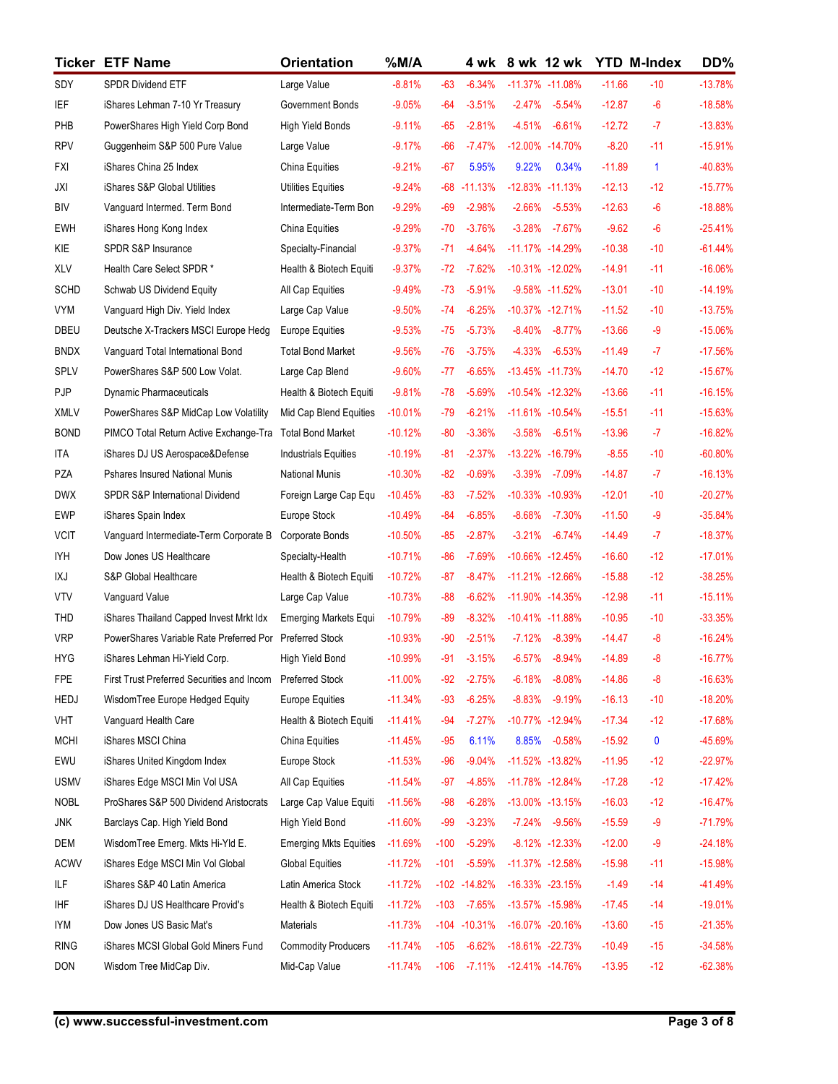|                           | <b>Ticker ETF Name</b>                                            | <b>Orientation</b>                             | $%$ M/A                |                |                      | 4 wk 8 wk 12 wk                      |          | <b>YTD M-Index</b>   |                      | DD%                    |
|---------------------------|-------------------------------------------------------------------|------------------------------------------------|------------------------|----------------|----------------------|--------------------------------------|----------|----------------------|----------------------|------------------------|
| SDY                       | <b>SPDR Dividend ETF</b>                                          | Large Value                                    | $-8.81%$               | $-63$          | $-6.34%$             | -11.37% -11.08%                      |          | $-11.66$             | $-10$                | $-13.78%$              |
| IEF                       | iShares Lehman 7-10 Yr Treasury                                   | Government Bonds                               | $-9.05%$               | -64            | $-3.51%$             | $-2.47%$                             | $-5.54%$ | $-12.87$             | -6                   | $-18.58%$              |
| PHB                       | PowerShares High Yield Corp Bond                                  | <b>High Yield Bonds</b>                        | $-9.11%$               | $-65$          | $-2.81%$             | -4.51% -6.61%                        |          | $-12.72$             | $-7$                 | $-13.83%$              |
| <b>RPV</b>                | Guggenheim S&P 500 Pure Value                                     | Large Value                                    | $-9.17%$               | $-66$          | -7.47%               | -12.00% -14.70%                      |          | $-8.20$              | $-11$                | $-15.91%$              |
| <b>FXI</b>                | iShares China 25 Index                                            | China Equities                                 | $-9.21%$               | $-67$          | 5.95%                | 9.22%                                | 0.34%    | $-11.89$             | $\blacktriangleleft$ | -40.83%                |
| JXI                       | iShares S&P Global Utilities                                      | <b>Utilities Equities</b>                      | $-9.24%$               |                | $-68 - 11.13%$       | $-12.83\% -11.13\%$                  |          | $-12.13$             | $-12$                | $-15.77%$              |
| <b>BIV</b>                | Vanguard Intermed. Term Bond                                      | Intermediate-Term Bon                          | $-9.29%$               | $-69$          | $-2.98%$             | $-2.66\% -5.53\%$                    |          | $-12.63$             | $-6$                 | $-18.88%$              |
| <b>EWH</b>                | iShares Hong Kong Index                                           | China Equities                                 | $-9.29%$               | $-70$          | $-3.76%$             | $-3.28\% -7.67\%$                    |          | $-9.62$              | $-6$                 | $-25.41%$              |
| KIE<br>XLV                | SPDR S&P Insurance<br>Health Care Select SPDR *                   | Specialty-Financial<br>Health & Biotech Equiti | $-9.37%$<br>$-9.37%$   | $-71$<br>-72   | -4.64%<br>-7.62%     | -11.17% -14.29%<br>-10.31% -12.02%   |          | $-10.38$<br>$-14.91$ | $-10$<br>$-11$       | $-61.44%$<br>$-16.06%$ |
| <b>SCHD</b>               | Schwab US Dividend Equity                                         | All Cap Equities                               | $-9.49%$               | -73            | -5.91%               | $-9.58\% -11.52\%$                   |          | $-13.01$             | $-10$                | $-14.19%$              |
| <b>VYM</b>                | Vanguard High Div. Yield Index                                    | Large Cap Value                                | $-9.50%$               | -74            | $-6.25%$             | $-10.37\% -12.71\%$                  |          | $-11.52$             | $-10$                | $-13.75%$              |
| DBEU                      | Deutsche X-Trackers MSCI Europe Hedg                              | Europe Equities                                | $-9.53%$               | -75            | $-5.73%$             | $-8.40%$                             | $-8.77%$ | $-13.66$             | $-9$                 | $-15.06%$              |
| <b>BNDX</b>               | Vanguard Total International Bond                                 | <b>Total Bond Market</b>                       | $-9.56%$               | $-76$          | $-3.75%$             | $-4.33%$                             | $-6.53%$ | $-11.49$             | $-7$                 | $-17.56%$              |
| SPLV                      | PowerShares S&P 500 Low Volat.                                    | Large Cap Blend                                | $-9.60%$               | $-77$          | $-6.65%$             | -13.45% -11.73%                      |          | $-14.70$             | $-12$                | $-15.67%$              |
| PJP                       | <b>Dynamic Pharmaceuticals</b>                                    | Health & Biotech Equiti                        | $-9.81%$               | $-78$          | $-5.69%$             | $-10.54\% -12.32\%$                  |          | $-13.66$             | $-11$                | $-16.15%$              |
| <b>XMLV</b>               | PowerShares S&P MidCap Low Volatility                             | Mid Cap Blend Equities                         | $-10.01%$              | $-79$          | $-6.21%$             | $-11.61\% -10.54\%$                  |          | $-15.51$             | $-11$                | $-15.63%$              |
| <b>BOND</b>               | PIMCO Total Return Active Exchange-Tra                            | <b>Total Bond Market</b>                       | $-10.12%$              | $-80$          | $-3.36%$             | $-3.58%$                             | $-6.51%$ | $-13.96$             | $-7$                 | $-16.82%$              |
| ITA                       | iShares DJ US Aerospace&Defense                                   | <b>Industrials Equities</b>                    | $-10.19%$              | $-81$          | $-2.37%$             | -13.22% -16.79%                      |          | $-8.55$              | $-10$                | $-60.80%$              |
| PZA                       | Pshares Insured National Munis                                    | <b>National Munis</b>                          | $-10.30%$              | $-82$          | $-0.69%$             | $-3.39%$                             | $-7.09%$ | $-14.87$             | $-7$                 | $-16.13%$              |
| <b>DWX</b>                | SPDR S&P International Dividend                                   | Foreign Large Cap Equ                          | $-10.45%$              |                | $-83 - 7.52%$        | -10.33% -10.93%                      |          | $-12.01$             | $-10$                | $-20.27%$              |
| <b>EWP</b>                | iShares Spain Index                                               | Europe Stock                                   | $-10.49%$              | $-84$          | $-6.85%$             | $-8.68%$                             | $-7.30%$ | $-11.50$             | $-9$                 | $-35.84%$              |
| <b>VCIT</b><br><b>IYH</b> | Vanguard Intermediate-Term Corporate B<br>Dow Jones US Healthcare | Corporate Bonds<br>Specialty-Health            | $-10.50%$<br>$-10.71%$ | $-85$<br>$-86$ | $-2.87%$<br>$-7.69%$ | $-3.21\% -6.74\%$<br>-10.66% -12.45% |          | $-14.49$<br>$-16.60$ | $-7$<br>$-12$        | $-18.37%$<br>$-17.01%$ |
| IXJ                       | S&P Global Healthcare                                             | Health & Biotech Equiti                        | $-10.72%$              | $-87$          | -8.47%               | -11.21% -12.66%                      |          | $-15.88$             | $-12$                | $-38.25%$              |
| <b>VTV</b>                | Vanguard Value                                                    | Large Cap Value                                | $-10.73%$              | $-88$          | $-6.62%$             | -11.90% -14.35%                      |          | $-12.98$             | $-11$                | $-15.11%$              |
| THD                       | iShares Thailand Capped Invest Mrkt Idx                           | Emerging Markets Equi                          | $-10.79%$              | $-89$          | $-8.32%$             | $-10.41\% -11.88\%$                  |          | $-10.95$             | $-10$                | $-33.35%$              |
| <b>VRP</b>                | PowerShares Variable Rate Preferred Por Preferred Stock           |                                                | $-10.93%$              | $-90$          | $-2.51%$             | $-7.12%$                             | $-8.39%$ | $-14.47$             | -8                   | $-16.24%$              |
| <b>HYG</b>                | iShares Lehman Hi-Yield Corp.                                     | High Yield Bond                                | $-10.99%$              | $-91$          | $-3.15%$             | $-6.57%$                             | $-8.94%$ | $-14.89$             | $-8$                 | $-16.77%$              |
| <b>FPE</b>                | First Trust Preferred Securities and Incom                        | <b>Preferred Stock</b>                         | $-11.00%$              | $-92$          | $-2.75%$             | $-6.18%$                             | $-8.08%$ | $-14.86$             | -8                   | $-16.63%$              |
| <b>HEDJ</b>               | WisdomTree Europe Hedged Equity                                   | Europe Equities                                | $-11.34%$              | $-93$          | $-6.25%$             | $-8.83%$                             | $-9.19%$ | $-16.13$             | $-10$                | $-18.20%$              |
| VHT                       | Vanguard Health Care                                              | Health & Biotech Equiti                        | $-11.41%$              | $-94$          | $-7.27%$             | -10.77% -12.94%                      |          | $-17.34$             | $-12$                | $-17.68%$              |
| <b>MCHI</b>               | iShares MSCI China                                                | China Equities                                 | $-11.45%$              | $-95$          | 6.11%                | 8.85%                                | $-0.58%$ | $-15.92$             | $\mathbf 0$          | -45.69%                |
| EWU                       | iShares United Kingdom Index                                      | Europe Stock                                   | $-11.53%$              | $-96$          | $-9.04%$             | $-11.52\% -13.82\%$                  |          | $-11.95$             | $-12$                | $-22.97%$              |
| <b>USMV</b>               | iShares Edge MSCI Min Vol USA                                     | All Cap Equities                               | $-11.54%$              | $-97$          | -4.85%               | -11.78% -12.84%                      |          | $-17.28$             | $-12$                | $-17.42%$              |
| <b>NOBL</b>               | ProShares S&P 500 Dividend Aristocrats                            | Large Cap Value Equiti                         | $-11.56%$              | $-98$          | $-6.28%$             | -13.00% -13.15%                      |          | $-16.03$             | $-12$                | $-16.47%$              |
| JNK                       | Barclays Cap. High Yield Bond                                     | High Yield Bond                                | $-11.60%$              | -99            | $-3.23%$             | $-7.24\% -9.56\%$                    |          | $-15.59$             | $-9$                 | $-71.79%$              |
| <b>DEM</b>                | WisdomTree Emerg. Mkts Hi-Yld E.                                  | <b>Emerging Mkts Equities</b>                  | $-11.69%$              | $-100$         | $-5.29%$             | $-8.12\% -12.33\%$                   |          | $-12.00$             | $-9$                 | $-24.18%$              |
| <b>ACWV</b>               | iShares Edge MSCI Min Vol Global                                  | <b>Global Equities</b>                         | $-11.72%$              | $-101$         | $-5.59\%$            | -11.37% -12.58%                      |          | $-15.98$             | $-11$                | $-15.98%$              |
| ILF                       | iShares S&P 40 Latin America                                      | Latin America Stock                            | $-11.72%$              |                | $-102 - 14.82\%$     | $-16.33\% -23.15\%$                  |          | $-1.49$              | $-14$                | $-41.49%$              |
| <b>IHF</b>                | iShares DJ US Healthcare Provid's                                 | Health & Biotech Equiti                        | $-11.72%$              | $-103$         | $-7.65%$             | -13.57% -15.98%                      |          | $-17.45$             | $-14$                | $-19.01%$              |
| <b>IYM</b>                | Dow Jones US Basic Mat's                                          | Materials                                      | $-11.73%$              |                | $-104 - 10.31\%$     | -16.07% -20.16%                      |          | $-13.60$             | $-15$                | $-21.35%$              |
| <b>RING</b>               | iShares MCSI Global Gold Miners Fund                              | <b>Commodity Producers</b>                     |                        |                |                      | -11.74% -105 -6.62% -18.61% -22.73%  |          | $-10.49$             | $-15$                | $-34.58%$              |
| <b>DON</b>                | Wisdom Tree MidCap Div.                                           | Mid-Cap Value                                  |                        |                |                      | -11.74% -106 -7.11% -12.41% -14.76%  |          | $-13.95$             | $-12$                | $-62.38%$              |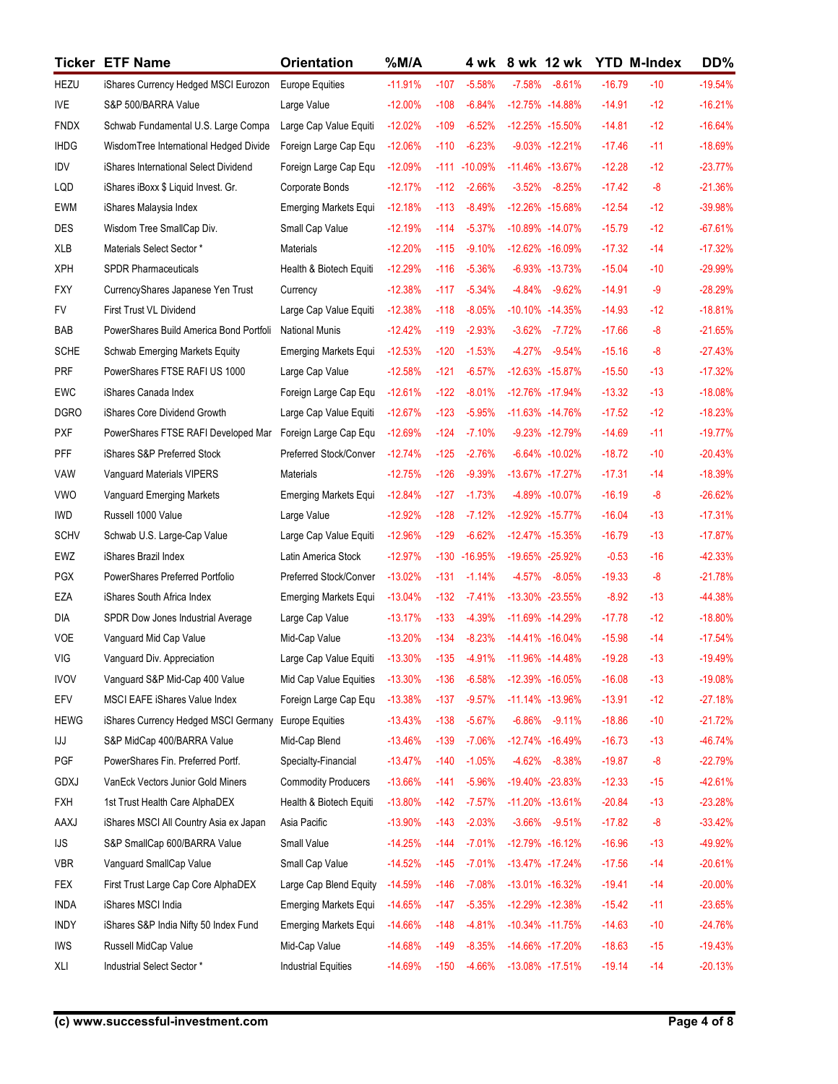|             | <b>Ticker ETF Name</b>                                             | <b>Orientation</b>                              | $%$ M/A                |                |                      |                        | 4 wk 8 wk 12 wk                          |                      | <b>YTD M-Index</b> | DD%                    |
|-------------|--------------------------------------------------------------------|-------------------------------------------------|------------------------|----------------|----------------------|------------------------|------------------------------------------|----------------------|--------------------|------------------------|
| HEZU        | iShares Currency Hedged MSCI Eurozon                               | <b>Europe Equities</b>                          | $-11.91%$              | $-107$         | $-5.58%$             |                        | -7.58% -8.61%                            | $-16.79$             | $-10$              | $-19.54%$              |
| <b>IVE</b>  | S&P 500/BARRA Value                                                | Large Value                                     | $-12.00%$              | $-108$         | $-6.84%$             |                        | -12.75% -14.88%                          | $-14.91$             | $-12$              | $-16.21%$              |
| <b>FNDX</b> | Schwab Fundamental U.S. Large Compa                                | Large Cap Value Equiti                          | $-12.02%$              | $-109$         | $-6.52%$             |                        | -12.25% -15.50%                          | $-14.81$             | $-12$              | $-16.64%$              |
| <b>IHDG</b> | WisdomTree International Hedged Divide                             | Foreign Large Cap Equ                           | $-12.06%$              | $-110$         | $-6.23%$             |                        | $-9.03\% -12.21\%$                       | $-17.46$             | $-11$              | $-18.69%$              |
| IDV         | iShares International Select Dividend                              | Foreign Large Cap Equ                           | $-12.09%$              |                | $-111 - 10.09\%$     |                        | -11.46% -13.67%                          | $-12.28$             | $-12$              | $-23.77%$              |
| LQD         | iShares iBoxx \$ Liquid Invest. Gr.                                | Corporate Bonds                                 | $-12.17%$              | $-112$         | $-2.66%$             | $-3.52\%$              | $-8.25%$                                 | $-17.42$             | -8                 | $-21.36%$              |
| <b>EWM</b>  | iShares Malaysia Index                                             | Emerging Markets Equi                           | $-12.18%$              | $-113$         | $-8.49%$             |                        | -12.26% -15.68%                          | $-12.54$             | $-12$              | -39.98%                |
| <b>DES</b>  | Wisdom Tree SmallCap Div.                                          | Small Cap Value                                 | $-12.19%$              | $-114$         | $-5.37%$             |                        | -10.89% -14.07%                          | $-15.79$             | $-12$              | $-67.61%$              |
| XLB         | Materials Select Sector *                                          | Materials                                       | $-12.20%$              | $-115$         | $-9.10%$             |                        | -12.62% -16.09%                          | $-17.32$             | $-14$              | $-17.32%$              |
| <b>XPH</b>  | SPDR Pharmaceuticals                                               | Health & Biotech Equiti                         | $-12.29%$              | $-116$         | $-5.36%$             |                        | $-6.93\% -13.73\%$                       | $-15.04$             | $-10$              | $-29.99%$              |
| <b>FXY</b>  | CurrencyShares Japanese Yen Trust                                  | Currency                                        | $-12.38%$              | $-117$         | $-5.34\%$            | -4.84%                 | $-9.62%$                                 | $-14.91$             | -9                 | $-28.29%$              |
| FV<br>BAB   | First Trust VL Dividend<br>PowerShares Build America Bond Portfoli | Large Cap Value Equiti<br><b>National Munis</b> | $-12.38%$<br>$-12.42%$ | -118<br>$-119$ | $-8.05%$<br>$-2.93%$ |                        | $-10.10\% -14.35\%$<br>$-3.62\% -7.72\%$ | $-14.93$<br>$-17.66$ | $-12$<br>$-8$      | $-18.81%$<br>$-21.65%$ |
| <b>SCHE</b> | Schwab Emerging Markets Equity                                     | <b>Emerging Markets Equi</b>                    | $-12.53%$              | $-120$         | $-1.53%$             | $-4.27%$               | $-9.54%$                                 | $-15.16$             | -8                 | $-27.43%$              |
| PRF         | PowerShares FTSE RAFI US 1000                                      | Large Cap Value                                 | $-12.58%$              | $-121$         | $-6.57%$             |                        | -12.63% -15.87%                          | $-15.50$             | $-13$              | $-17.32%$              |
| EWC         | iShares Canada Index                                               | Foreign Large Cap Equ                           | $-12.61%$              | $-122$         | $-8.01%$             |                        | -12.76% -17.94%                          | $-13.32$             | $-13$              | $-18.08%$              |
| <b>DGRO</b> | iShares Core Dividend Growth                                       | Large Cap Value Equiti                          | $-12.67%$              | $-123$         | $-5.95\%$            |                        | $-11.63\% -14.76\%$                      | $-17.52$             | $-12$              | $-18.23%$              |
| <b>PXF</b>  | PowerShares FTSE RAFI Developed Mar                                | Foreign Large Cap Equ                           | $-12.69%$              | $-124$         | $-7.10%$             |                        | -9.23% -12.79%                           | $-14.69$             | $-11$              | $-19.77%$              |
| <b>PFF</b>  | iShares S&P Preferred Stock                                        | Preferred Stock/Conver                          | $-12.74%$              | $-125$         | $-2.76%$             |                        | $-6.64\% -10.02\%$                       | $-18.72$             | $-10$              | $-20.43%$              |
| VAW         | Vanguard Materials VIPERS                                          | Materials                                       | $-12.75%$              | $-126$         | $-9.39%$             |                        | -13.67% -17.27%                          | $-17.31$             | $-14$              | $-18.39%$              |
| <b>VWO</b>  | Vanguard Emerging Markets                                          | Emerging Markets Equi                           | $-12.84%$              | $-127$         | $-1.73%$             |                        | -4.89% -10.07%                           | $-16.19$             | $-8$               | $-26.62%$              |
| IWD         | Russell 1000 Value                                                 | Large Value                                     | $-12.92%$              | $-128$         | $-7.12%$             |                        | -12.92% -15.77%                          | $-16.04$             | $-13$              | $-17.31%$              |
| <b>SCHV</b> | Schwab U.S. Large-Cap Value                                        | Large Cap Value Equiti                          | $-12.96%$              | $-129$         | $-6.62%$             |                        | -12.47% -15.35%                          | $-16.79$             | $-13$              | $-17.87%$              |
| EWZ         | iShares Brazil Index                                               | Latin America Stock                             | $-12.97%$              | $-130$         | $-16.95%$            |                        | -19.65% -25.92%                          | $-0.53$              | $-16$              | $-42.33%$              |
| PGX         | PowerShares Preferred Portfolio                                    | Preferred Stock/Conver                          | $-13.02%$              | $-131$         | $-1.14%$             |                        | -4.57% -8.05%                            | $-19.33$             | $-8$               | $-21.78%$              |
| EZA         | iShares South Africa Index                                         | <b>Emerging Markets Equi</b>                    | $-13.04%$              | $-132$         | $-7.41%$             |                        | -13.30% -23.55%                          | $-8.92$              | $-13$              | $-44.38%$              |
| DIA         | SPDR Dow Jones Industrial Average                                  | Large Cap Value                                 | $-13.17%$              | $-133$         | $-4.39%$             |                        | -11.69% -14.29%                          | $-17.78$             | $-12$              | $-18.80%$              |
| VOE         | Vanguard Mid Cap Value                                             | Mid-Cap Value                                   | $-13.20%$              | $-134$         | $-8.23%$             |                        | $-14.41\% -16.04\%$                      | $-15.98$             | $-14$              | $-17.54%$              |
| VIG         | Vanguard Div. Appreciation                                         | Large Cap Value Equiti                          | $-13.30%$              | $-135$         | -4.91%               |                        | $-11.96\% -14.48\%$                      | $-19.28$             | $-13$              | $-19.49%$              |
| <b>IVOV</b> | Vanguard S&P Mid-Cap 400 Value                                     | Mid Cap Value Equities                          | $-13.30%$              | $-136$         | $-6.58%$             |                        | -12.39% -16.05%                          | $-16.08$             | $-13$              | $-19.08%$              |
| EFV         | MSCI EAFE iShares Value Index                                      | Foreign Large Cap Equ                           | $-13.38%$              | $-137$         | $-9.57\%$            |                        | $-11.14\% -13.96\%$                      | $-13.91$             | $-12$              | $-27.18%$              |
| <b>HEWG</b> | iShares Currency Hedged MSCI Germany                               | <b>Europe Equities</b>                          | $-13.43%$              | $-138$         | $-5.67%$             | $-6.86%$               | $-9.11%$                                 | $-18.86$             | $-10$              | $-21.72%$              |
| IJJ         | S&P MidCap 400/BARRA Value                                         | Mid-Cap Blend                                   | $-13.46%$              | $-139$         | $-7.06%$             |                        | -12.74% -16.49%                          | $-16.73$             | $-13$              | $-46.74%$              |
| PGF         | PowerShares Fin. Preferred Portf.                                  | Specialty-Financial                             | $-13.47%$              | $-140$         | $-1.05%$             | $-4.62%$               | $-8.38%$                                 | $-19.87$             | $-8$               | $-22.79%$              |
| GDXJ        | VanEck Vectors Junior Gold Miners                                  | <b>Commodity Producers</b>                      | $-13.66%$              | $-141$         | $-5.96%$             |                        | -19.40% -23.83%                          | $-12.33$             | $-15$              | $-42.61%$              |
| <b>FXH</b>  | 1st Trust Health Care AlphaDEX                                     | Health & Biotech Equiti                         | $-13.80%$              | $-142$         | $-7.57\%$            |                        | -11.20% -13.61%                          | $-20.84$             | $-13$              | $-23.28%$              |
| AAXJ        | iShares MSCI All Country Asia ex Japan                             | Asia Pacific                                    | $-13.90%$              | $-143$         | $-2.03%$             |                        | $-3.66\% -9.51\%$                        | $-17.82$             | $-8$               | $-33.42%$              |
| <b>IJS</b>  | S&P SmallCap 600/BARRA Value                                       | Small Value                                     | $-14.25%$              | $-144$         | $-7.01%$             |                        | -12.79% -16.12%                          | $-16.96$             | $-13$              | -49.92%                |
| <b>VBR</b>  | Vanguard SmallCap Value                                            | Small Cap Value                                 | $-14.52%$              | $-145$         | -7.01%               |                        | $-13.47\% -17.24\%$                      | $-17.56$             | $-14$              | $-20.61%$              |
| <b>FEX</b>  | First Trust Large Cap Core AlphaDEX                                | Large Cap Blend Equity                          | $-14.59%$              | $-146$         | $-7.08%$             |                        | -13.01% -16.32%                          | $-19.41$             | $-14$              | $-20.00%$              |
| <b>INDA</b> | iShares MSCI India                                                 | Emerging Markets Equi                           | $-14.65%$              | $-147$         | $-5.35%$             |                        | -12.29% -12.38%                          | $-15.42$             | $-11$              | $-23.65%$              |
| <b>INDY</b> | iShares S&P India Nifty 50 Index Fund                              | <b>Emerging Markets Equi</b>                    | $-14.66\%$             | -148           | -4.81%               |                        | $-10.34\% -11.75\%$                      | $-14.63$             | $-10$              | $-24.76%$              |
| IWS         | Russell MidCap Value                                               | Mid-Cap Value                                   | $-14.68%$              | -149           |                      | -8.35% -14.66% -17.20% |                                          | $-18.63$             | $-15$              | $-19.43%$              |
| XLI         | Industrial Select Sector *                                         | <b>Industrial Equities</b>                      | $-14.69%$              | -150           |                      | -4.66% -13.08% -17.51% |                                          | $-19.14$             | $-14$              | $-20.13%$              |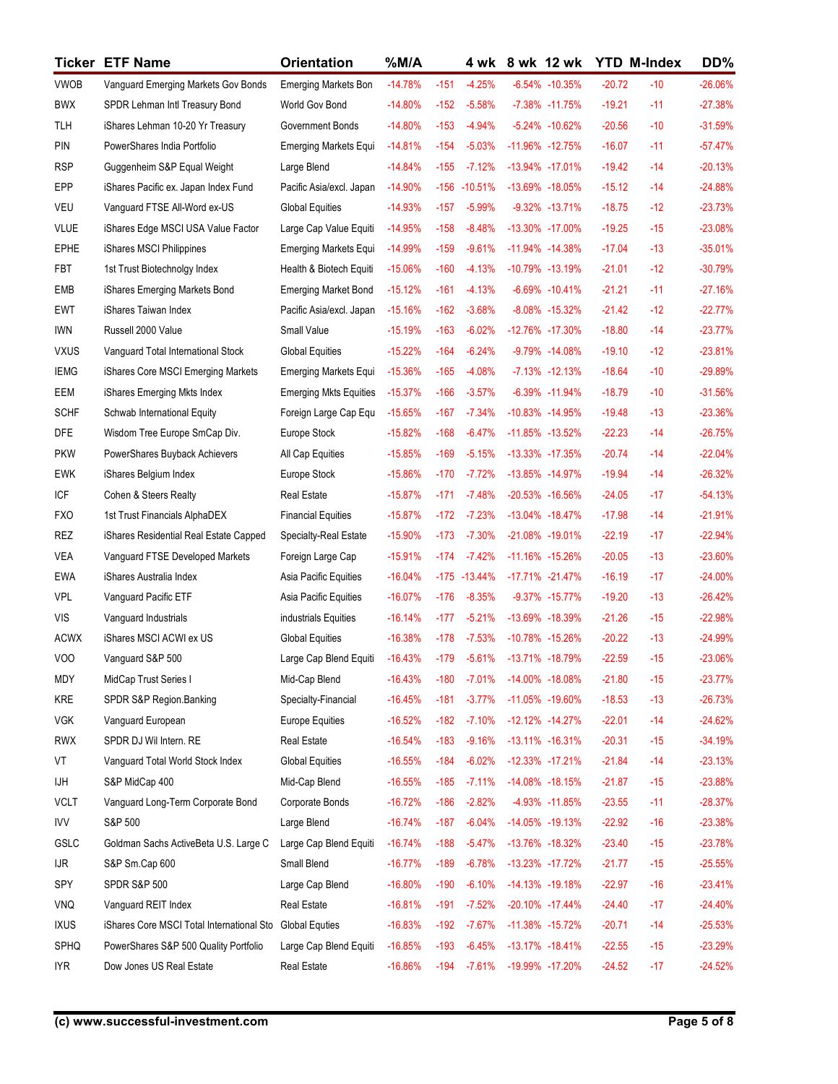|                           | <b>Ticker ETF Name</b>                                            | <b>Orientation</b>                                     | $%$ M/A                 |                  |                      | 4 wk 8 wk 12 wk                                            |                                       | <b>YTD M-Index</b>   |                | DD%                    |
|---------------------------|-------------------------------------------------------------------|--------------------------------------------------------|-------------------------|------------------|----------------------|------------------------------------------------------------|---------------------------------------|----------------------|----------------|------------------------|
| <b>VWOB</b>               | Vanguard Emerging Markets Gov Bonds                               | <b>Emerging Markets Bon</b>                            | $-14.78%$               | $-151$           | $-4.25%$             |                                                            | -6.54% -10.35%                        | $-20.72$             | $-10$          | $-26.06%$              |
| <b>BWX</b>                | SPDR Lehman Intl Treasury Bond                                    | World Gov Bond                                         | $-14.80%$               | $-152$           | $-5.58%$             |                                                            | -7.38% -11.75%                        | $-19.21$             | $-11$          | $-27.38%$              |
| TLH                       | iShares Lehman 10-20 Yr Treasury                                  | Government Bonds                                       | $-14.80%$               | $-153$           | -4.94%               |                                                            | -5.24% -10.62%                        | $-20.56$             | $-10$          | $-31.59%$              |
| PIN                       | PowerShares India Portfolio                                       | Emerging Markets Equi                                  | $-14.81%$               | $-154$           | $-5.03%$             |                                                            | -11.96% -12.75%                       | $-16.07$             | $-11$          | $-57.47%$              |
| <b>RSP</b>                | Guggenheim S&P Equal Weight                                       | Large Blend                                            | $-14.84%$               | $-155$           | -7.12%               |                                                            | -13.94% -17.01%                       | $-19.42$             | $-14$          | $-20.13%$              |
| EPP                       | iShares Pacific ex. Japan Index Fund                              | Pacific Asia/excl. Japan                               | $-14.90%$               | $-156$           | $-10.51\%$           |                                                            | -13.69% -18.05%                       | $-15.12$             | $-14$          | $-24.88%$              |
| <b>VEU</b><br><b>VLUE</b> | Vanguard FTSE All-Word ex-US                                      | <b>Global Equities</b>                                 | $-14.93%$<br>$-14.95%$  | $-157$<br>$-158$ | $-5.99%$<br>$-8.48%$ |                                                            | $-9.32\% -13.71\%$<br>-13.30% -17.00% | $-18.75$<br>$-19.25$ | $-12$<br>$-15$ | $-23.73%$<br>$-23.08%$ |
| <b>EPHE</b>               | iShares Edge MSCI USA Value Factor<br>iShares MSCI Philippines    | Large Cap Value Equiti<br><b>Emerging Markets Equi</b> | $-14.99%$               | $-159$           | $-9.61%$             |                                                            | -11.94% -14.38%                       | $-17.04$             | $-13$          | $-35.01%$              |
| <b>FBT</b>                | 1st Trust Biotechnolgy Index                                      | Health & Biotech Equiti                                | $-15.06%$               | $-160$           | -4.13%               |                                                            | -10.79% -13.19%                       | $-21.01$             | $-12$          | $-30.79%$              |
| EMB                       | iShares Emerging Markets Bond                                     | <b>Emerging Market Bond</b>                            | $-15.12%$               | -161             | $-4.13%$             |                                                            | $-6.69\% -10.41\%$                    | $-21.21$             | $-11$          | $-27.16%$              |
| <b>EWT</b>                | iShares Taiwan Index                                              | Pacific Asia/excl. Japan                               | $-15.16%$               | $-162$           | $-3.68%$             |                                                            | $-8.08\% -15.32\%$                    | $-21.42$             | $-12$          | $-22.77%$              |
| <b>IWN</b>                | Russell 2000 Value                                                | Small Value                                            | $-15.19%$               | $-163$           | $-6.02%$             |                                                            | -12.76% -17.30%                       | $-18.80$             | $-14$          | $-23.77%$              |
| <b>VXUS</b>               | Vanguard Total International Stock                                | <b>Global Equities</b>                                 | $-15.22%$               | $-164$           | $-6.24%$             |                                                            | -9.79% -14.08%                        | $-19.10$             | $-12$          | $-23.81%$              |
| <b>IEMG</b>               | iShares Core MSCI Emerging Markets                                | <b>Emerging Markets Equi</b>                           | $-15.36%$               | $-165$           | $-4.08%$             |                                                            | $-7.13\% -12.13\%$                    | $-18.64$             | $-10$          | -29.89%                |
| EEM                       | iShares Emerging Mkts Index                                       | <b>Emerging Mkts Equities</b>                          | $-15.37%$               | $-166$           | $-3.57%$             |                                                            | $-6.39\% -11.94\%$                    | $-18.79$             | $-10$          | $-31.56%$              |
| <b>SCHF</b>               | Schwab International Equity                                       | Foreign Large Cap Equ                                  | $-15.65%$               | $-167$           | $-7.34%$             |                                                            | -10.83% -14.95%                       | $-19.48$             | $-13$          | $-23.36%$              |
| <b>DFE</b>                | Wisdom Tree Europe SmCap Div.                                     | Europe Stock                                           | $-15.82%$               | $-168$           | $-6.47%$             |                                                            | -11.85% -13.52%                       | $-22.23$             | $-14$          | $-26.75%$              |
| <b>PKW</b>                | PowerShares Buyback Achievers                                     | All Cap Equities                                       | $-15.85%$               | $-169$           | $-5.15%$             |                                                            | -13.33% -17.35%                       | $-20.74$             | $-14$          | $-22.04%$              |
| <b>EWK</b>                | iShares Belgium Index                                             | Europe Stock                                           | $-15.86%$               | $-170$           | $-7.72%$             |                                                            | -13.85% -14.97%                       | $-19.94$             | $-14$          | $-26.32%$              |
| ICF<br><b>FXO</b>         | Cohen & Steers Realty<br>1st Trust Financials AlphaDEX            | Real Estate<br><b>Financial Equities</b>               | $-15.87%$<br>$-15.87%$  | $-171$<br>$-172$ | -7.48%<br>$-7.23%$   |                                                            | -20.53% -16.56%<br>-13.04% -18.47%    | $-24.05$<br>$-17.98$ | $-17$<br>$-14$ | $-54.13%$<br>$-21.91%$ |
| REZ                       | iShares Residential Real Estate Capped                            | Specialty-Real Estate                                  | $-15.90%$               | $-173$           | -7.30%               |                                                            | -21.08% -19.01%                       | $-22.19$             | $-17$          | $-22.94%$              |
| VEA                       | Vanguard FTSE Developed Markets                                   | Foreign Large Cap                                      | $-15.91%$               | $-174$           | $-7.42%$             |                                                            | -11.16% -15.26%                       | $-20.05$             | $-13$          | $-23.60%$              |
| <b>EWA</b>                | iShares Australia Index                                           | Asia Pacific Equities                                  | $-16.04%$               |                  | $-175 - 13.44\%$     |                                                            | -17.71% -21.47%                       | $-16.19$             | $-17$          | $-24.00%$              |
| <b>VPL</b>                | Vanguard Pacific ETF                                              | Asia Pacific Equities                                  | $-16.07%$               | $-176$           | $-8.35%$             |                                                            | -9.37% -15.77%                        | $-19.20$             | $-13$          | $-26.42%$              |
| VIS                       | Vanguard Industrials                                              | industrials Equities                                   | $-16.14%$               | $-177$           | $-5.21%$             |                                                            | -13.69% -18.39%                       | $-21.26$             | $-15$          | $-22.98%$              |
| <b>ACWX</b>               | iShares MSCI ACWI ex US                                           | <b>Global Equities</b>                                 | $-16.38%$               | $-178$           | $-7.53%$             |                                                            | -10.78% -15.26%                       | $-20.22$             | $-13$          | $-24.99%$              |
| VOO                       | Vanguard S&P 500                                                  | Large Cap Blend Equiti                                 | $-16.43%$               | $-179$           | $-5.61%$             |                                                            | -13.71% -18.79%                       | $-22.59$             | $-15$          | $-23.06%$              |
| MDY                       | MidCap Trust Series I                                             | Mid-Cap Blend                                          | $-16.43%$               | $-180$           | $-7.01%$             |                                                            | -14.00% -18.08%                       | $-21.80$             | $-15$          | $-23.77%$              |
| KRE                       | SPDR S&P Region.Banking                                           | Specialty-Financial                                    | $-16.45%$               | $-181$           | $-3.77\%$            |                                                            | -11.05% -19.60%                       | $-18.53$             | $-13$          | $-26.73%$              |
| <b>VGK</b>                | Vanguard European                                                 | <b>Europe Equities</b>                                 | $-16.52%$               | $-182$           | $-7.10%$             |                                                            | $-12.12\% -14.27\%$                   | $-22.01$             | $-14$          | $-24.62%$              |
| <b>RWX</b>                | SPDR DJ Wil Intern. RE                                            | Real Estate                                            | $-16.54%$               | $-183$           | $-9.16%$             |                                                            | $-13.11\% -16.31\%$                   | $-20.31$             | $-15$          | $-34.19%$              |
| VT                        | Vanguard Total World Stock Index                                  | <b>Global Equities</b>                                 | $-16.55%$               | $-184$           | $-6.02%$             |                                                            | $-12.33\% -17.21\%$                   | $-21.84$             | $-14$          | $-23.13%$              |
| IJН                       | S&P MidCap 400                                                    | Mid-Cap Blend                                          | $-16.55%$               | $-185$           | -7.11%               |                                                            | -14.08% -18.15%                       | $-21.87$             | $-15$          | $-23.88%$              |
| <b>VCLT</b>               | Vanguard Long-Term Corporate Bond                                 | Corporate Bonds                                        | $-16.72%$               | $-186$           | $-2.82%$             |                                                            | -4.93% -11.85%                        | $-23.55$             | $-11$          | $-28.37%$              |
| <b>IVV</b>                | S&P 500                                                           | Large Blend                                            | $-16.74%$               | $-187$           | $-6.04%$             |                                                            | -14.05% -19.13%                       | $-22.92$             | $-16$          | $-23.38%$              |
| GSLC                      | Goldman Sachs ActiveBeta U.S. Large C                             | Large Cap Blend Equiti                                 | $-16.74%$               | $-188$           | $-5.47%$             |                                                            | -13.76% -18.32%                       | $-23.40$             | $-15$          | $-23.78%$              |
| <b>IJR</b>                | S&P Sm.Cap 600                                                    | Small Blend                                            | $-16.77%$               | $-189$           | $-6.78%$             |                                                            | -13.23% -17.72%                       | $-21.77$             | $-15$          | $-25.55%$              |
| SPY                       | <b>SPDR S&amp;P 500</b>                                           | Large Cap Blend                                        | $-16.80%$               | $-190$           | $-6.10%$             |                                                            | $-14.13\% -19.18\%$                   | $-22.97$             | $-16$          | $-23.41%$              |
| <b>VNQ</b>                | Vanguard REIT Index                                               | Real Estate                                            | $-16.81%$               | $-191$           | $-7.52%$             |                                                            | $-20.10\% -17.44\%$                   | $-24.40$             | $-17$          | $-24.40%$              |
| <b>IXUS</b>               | iShares Core MSCI Total International Sto Global Equties          |                                                        | $-16.83%$               | -192             | -7.67%               |                                                            | -11.38% -15.72%                       | $-20.71$             | $-14$          | $-25.53%$              |
| SPHQ<br><b>IYR</b>        | PowerShares S&P 500 Quality Portfolio<br>Dow Jones US Real Estate | Large Cap Blend Equiti<br>Real Estate                  | $-16.85%$<br>$-16.86\%$ |                  |                      | -193 -6.45% -13.17% -18.41%<br>-194 -7.61% -19.99% -17.20% |                                       | $-22.55$<br>$-24.52$ | $-15$<br>$-17$ | $-23.29%$<br>$-24.52%$ |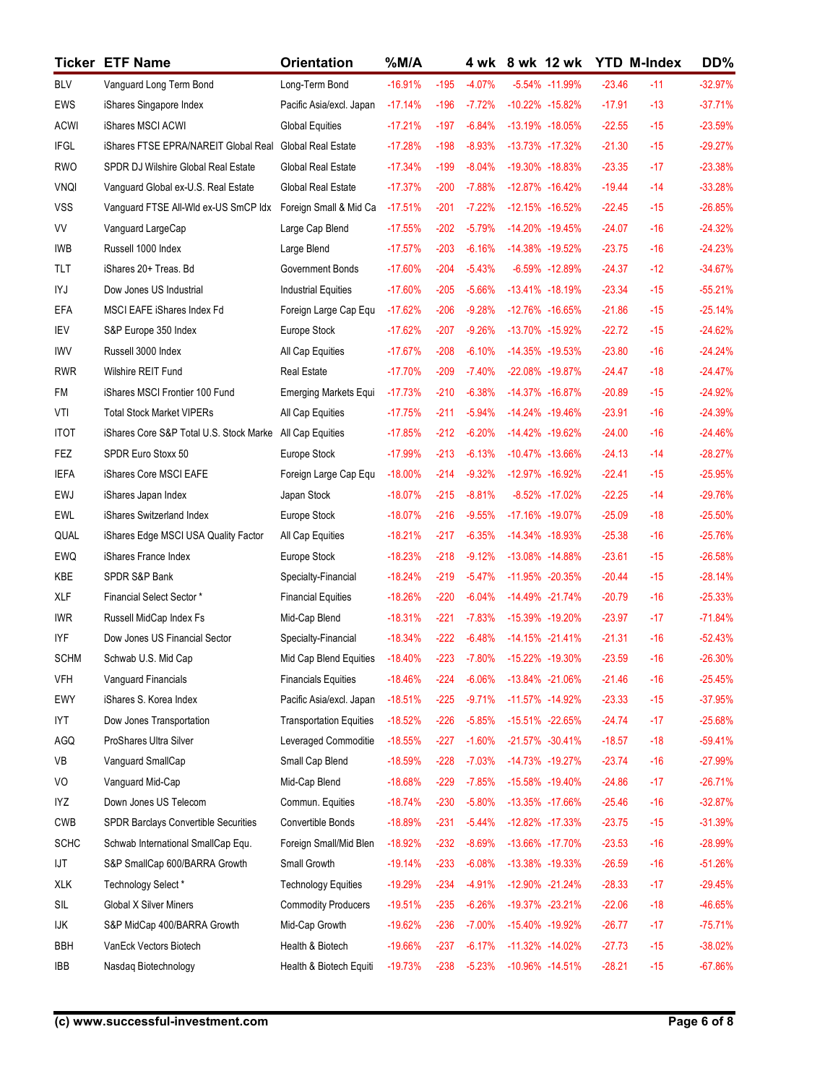|                    | <b>Ticker ETF Name</b>                                   | <b>Orientation</b>             | $%$ M/A                |                  |                      | 4 wk 8 wk 12 wk                     | <b>YTD M-Index</b>   |                | DD%                    |
|--------------------|----------------------------------------------------------|--------------------------------|------------------------|------------------|----------------------|-------------------------------------|----------------------|----------------|------------------------|
| <b>BLV</b>         | Vanguard Long Term Bond                                  | Long-Term Bond                 | $-16.91%$              | $-195$           | $-4.07%$             | -5.54% -11.99%                      | $-23.46$             | $-11$          | $-32.97%$              |
| <b>EWS</b>         | iShares Singapore Index                                  | Pacific Asia/excl. Japan       | $-17.14%$              | $-196$           | $-7.72%$             | -10.22% -15.82%                     | $-17.91$             | $-13$          | $-37.71%$              |
| <b>ACWI</b>        | iShares MSCI ACWI                                        | <b>Global Equities</b>         | $-17.21%$              | $-197$           | $-6.84%$             | -13.19% -18.05%                     | $-22.55$             | $-15$          | $-23.59%$              |
| <b>IFGL</b>        | iShares FTSE EPRA/NAREIT Global Real                     | Global Real Estate             | $-17.28%$              | $-198$           | $-8.93%$             | -13.73% -17.32%                     | $-21.30$             | $-15$          | $-29.27%$              |
| <b>RWO</b>         | SPDR DJ Wilshire Global Real Estate                      | Global Real Estate             | $-17.34%$              | $-199$           | $-8.04%$             | -19.30% -18.83%                     | $-23.35$             | $-17$          | $-23.38%$              |
| <b>VNQI</b>        | Vanguard Global ex-U.S. Real Estate                      | Global Real Estate             | $-17.37%$              | $-200$           | $-7.88%$             | -12.87% -16.42%                     | $-19.44$             | $-14$          | $-33.28%$              |
| <b>VSS</b>         | Vanguard FTSE All-Wld ex-US SmCP Idx                     | Foreign Small & Mid Ca         | $-17.51%$              | $-201$           | $-7.22%$             | -12.15% -16.52%                     | $-22.45$             | $-15$          | $-26.85%$              |
| VV                 | Vanguard LargeCap                                        | Large Cap Blend                | $-17.55%$              | $-202$           | $-5.79%$             | -14.20% -19.45%                     | $-24.07$             | $-16$          | $-24.32%$              |
| IWB                | Russell 1000 Index                                       | Large Blend                    | $-17.57%$              | $-203$           | $-6.16%$             | -14.38% -19.52%                     | $-23.75$             | $-16$          | $-24.23%$              |
| <b>TLT</b>         | iShares 20+ Treas. Bd                                    | Government Bonds               | $-17.60%$              | $-204$           | $-5.43%$             | $-6.59\% -12.89\%$                  | $-24.37$             | $-12$          | $-34.67%$              |
| IYJ                | Dow Jones US Industrial                                  | <b>Industrial Equities</b>     | $-17.60%$              | $-205$           | $-5.66%$             | $-13.41\% -18.19\%$                 | $-23.34$             | $-15$          | $-55.21%$              |
| EFA                | MSCI EAFE iShares Index Fd                               | Foreign Large Cap Equ          | $-17.62%$              | $-206$           | $-9.28%$             | -12.76% -16.65%                     | $-21.86$             | $-15$          | $-25.14%$              |
| IEV                | S&P Europe 350 Index                                     | Europe Stock                   | $-17.62%$              | $-207$           | $-9.26%$             | -13.70% -15.92%                     | $-22.72$             | $-15$          | $-24.62%$              |
| <b>IWV</b>         | Russell 3000 Index                                       | All Cap Equities               | $-17.67%$              | $-208$           | $-6.10%$             | -14.35% -19.53%                     | $-23.80$             | $-16$          | $-24.24%$              |
| <b>RWR</b>         | Wilshire REIT Fund                                       | <b>Real Estate</b>             | $-17.70%$              | $-209$           | -7.40%               | -22.08% -19.87%                     | $-24.47$             | $-18$          | $-24.47%$              |
| FM                 | iShares MSCI Frontier 100 Fund                           | <b>Emerging Markets Equi</b>   | $-17.73%$              | $-210$           | $-6.38%$             | -14.37% -16.87%                     | $-20.89$             | $-15$          | $-24.92%$              |
| VTI                | <b>Total Stock Market VIPERs</b>                         | All Cap Equities               | $-17.75%$              | $-211$           | $-5.94%$             | -14.24% -19.46%                     | $-23.91$             | $-16$          | $-24.39%$              |
| <b>ITOT</b>        | iShares Core S&P Total U.S. Stock Marke All Cap Equities |                                | $-17.85%$              | $-212$<br>$-213$ | $-6.20%$<br>$-6.13%$ | -14.42% -19.62%<br>-10.47% -13.66%  | $-24.00$<br>$-24.13$ | $-16$<br>$-14$ | $-24.46%$<br>$-28.27%$ |
| FEZ<br><b>IEFA</b> | SPDR Euro Stoxx 50<br>iShares Core MSCI EAFE             | Europe Stock                   | $-17.99%$<br>$-18.00%$ | $-214$           | $-9.32%$             | -12.97% -16.92%                     | $-22.41$             | $-15$          | $-25.95%$              |
| EWJ                | iShares Japan Index                                      | Foreign Large Cap Equ          | $-18.07%$              | $-215$           | $-8.81%$             | $-8.52\% -17.02\%$                  | $-22.25$             | $-14$          | $-29.76%$              |
| <b>EWL</b>         | iShares Switzerland Index                                | Japan Stock<br>Europe Stock    | $-18.07%$              | $-216$           | $-9.55%$             | -17.16% -19.07%                     | $-25.09$             | $-18$          | $-25.50%$              |
| QUAL               | iShares Edge MSCI USA Quality Factor                     | All Cap Equities               | $-18.21%$              | $-217$           | $-6.35%$             | -14.34% -18.93%                     | $-25.38$             | $-16$          | $-25.76%$              |
| EWQ                | iShares France Index                                     | Europe Stock                   | $-18.23%$              | $-218$           | $-9.12%$             | -13.08% -14.88%                     | $-23.61$             | $-15$          | $-26.58%$              |
| KBE                | SPDR S&P Bank                                            | Specialty-Financial            | $-18.24%$              | $-219$           | $-5.47%$             | -11.95% -20.35%                     | $-20.44$             | $-15$          | $-28.14%$              |
| <b>XLF</b>         | Financial Select Sector*                                 | <b>Financial Equities</b>      | $-18.26%$              | $-220$           | $-6.04%$             | -14.49% -21.74%                     | $-20.79$             | $-16$          | $-25.33%$              |
| <b>IWR</b>         | Russell MidCap Index Fs                                  | Mid-Cap Blend                  | $-18.31%$              | $-221$           | $-7.83%$             | -15.39% -19.20%                     | $-23.97$             | $-17$          | $-71.84%$              |
| IYF                | Dow Jones US Financial Sector                            | Specialty-Financial            | $-18.34%$              | $-222$           | $-6.48%$             | $-14.15\% -21.41\%$                 | $-21.31$             | $-16$          | $-52.43%$              |
| <b>SCHM</b>        | Schwab U.S. Mid Cap                                      | Mid Cap Blend Equities         | $-18.40%$              | $-223$           | $-7.80%$             | -15.22% -19.30%                     | $-23.59$             | $-16$          | $-26.30%$              |
| <b>VFH</b>         | Vanguard Financials                                      | <b>Financials Equities</b>     | $-18.46%$              | $-224$           | $-6.06%$             | -13.84% -21.06%                     | $-21.46$             | $-16$          | $-25.45%$              |
| EWY                | iShares S. Korea Index                                   | Pacific Asia/excl. Japan       | $-18.51%$              | $-225$           | $-9.71%$             | -11.57% -14.92%                     | $-23.33$             | $-15$          | $-37.95%$              |
| <b>IYT</b>         | Dow Jones Transportation                                 | <b>Transportation Equities</b> | $-18.52%$              | $-226$           | $-5.85%$             | -15.51% -22.65%                     | $-24.74$             | $-17$          | $-25.68%$              |
| AGQ                | ProShares Ultra Silver                                   | Leveraged Commoditie           | $-18.55%$              | $-227$           | $-1.60\%$            | -21.57% -30.41%                     | $-18.57$             | $-18$          | $-59.41%$              |
| VB                 | Vanguard SmallCap                                        | Small Cap Blend                | $-18.59%$              | $-228$           | $-7.03%$             | -14.73% -19.27%                     | $-23.74$             | $-16$          | $-27.99%$              |
| VO                 | Vanguard Mid-Cap                                         | Mid-Cap Blend                  | $-18.68%$              | $-229$           | $-7.85%$             | -15.58% -19.40%                     | $-24.86$             | $-17$          | $-26.71%$              |
| IYZ                | Down Jones US Telecom                                    | Commun. Equities               | $-18.74%$              | $-230$           | $-5.80%$             | -13.35% -17.66%                     | $-25.46$             | $-16$          | $-32.87%$              |
| <b>CWB</b>         | <b>SPDR Barclays Convertible Securities</b>              | Convertible Bonds              | $-18.89%$              | $-231$           | $-5.44%$             | $-12.82\% -17.33\%$                 | $-23.75$             | $-15$          | $-31.39%$              |
| <b>SCHC</b>        | Schwab International SmallCap Equ.                       | Foreign Small/Mid Blen         | $-18.92%$              | $-232$           | $-8.69%$             | -13.66% -17.70%                     | $-23.53$             | $-16$          | -28.99%                |
| IJT                | S&P SmallCap 600/BARRA Growth                            | Small Growth                   | $-19.14%$              | $-233$           | $-6.08%$             | -13.38% -19.33%                     | $-26.59$             | $-16$          | $-51.26%$              |
| <b>XLK</b>         | Technology Select*                                       | <b>Technology Equities</b>     | $-19.29%$              | $-234$           | $-4.91%$             | -12.90% -21.24%                     | $-28.33$             | $-17$          | $-29.45%$              |
| SIL                | <b>Global X Silver Miners</b>                            | <b>Commodity Producers</b>     | $-19.51%$              | $-235$           | $-6.26%$             | -19.37% -23.21%                     | $-22.06$             | $-18$          | -46.65%                |
| IJΚ                | S&P MidCap 400/BARRA Growth                              | Mid-Cap Growth                 | $-19.62%$              | $-236$           | $-7.00\%$            | -15.40% -19.92%                     | $-26.77$             | $-17$          | $-75.71%$              |
| <b>BBH</b>         | VanEck Vectors Biotech                                   | Health & Biotech               | $-19.66%$              |                  |                      | -237 -6.17% -11.32% -14.02%         | $-27.73$             | $-15$          | $-38.02%$              |
| IBB                | Nasdaq Biotechnology                                     | Health & Biotech Equiti        |                        |                  |                      | -19.73% -238 -5.23% -10.96% -14.51% | $-28.21$             | $-15$          | $-67.86%$              |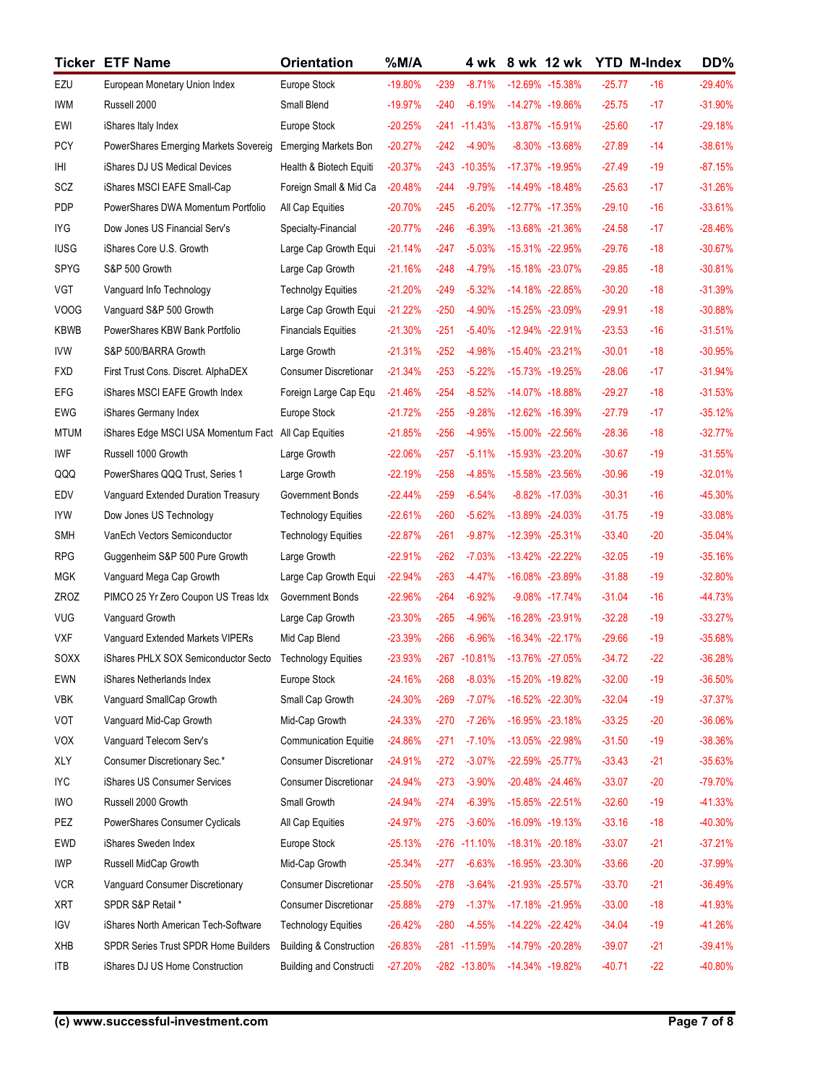|                     | <b>Ticker ETF Name</b>                                                                            | <b>Orientation</b>                                           | $%$ M/A                |                  |                              | 4 wk 8 wk 12 wk                    | <b>YTD M-Index</b>   |                | DD%                    |
|---------------------|---------------------------------------------------------------------------------------------------|--------------------------------------------------------------|------------------------|------------------|------------------------------|------------------------------------|----------------------|----------------|------------------------|
| EZU                 | European Monetary Union Index                                                                     | Europe Stock                                                 | $-19.80%$              | $-239$           | $-8.71%$                     | -12.69% -15.38%                    | $-25.77$             | $-16$          | $-29.40%$              |
| <b>IWM</b>          | Russell 2000                                                                                      | Small Blend                                                  | $-19.97%$              | -240             | $-6.19\%$                    | -14.27% -19.86%                    | $-25.75$             | $-17$          | $-31.90%$              |
| EWI                 | iShares Italy Index                                                                               | Europe Stock                                                 | $-20.25%$              |                  | $-241 - 11.43\%$             | -13.87% -15.91%                    | $-25.60$             | $-17$          | $-29.18%$              |
| <b>PCY</b>          | PowerShares Emerging Markets Sovereig                                                             | <b>Emerging Markets Bon</b>                                  | $-20.27%$              | -242             | -4.90%                       | $-8.30\% -13.68\%$                 | $-27.89$             | $-14$          | $-38.61%$              |
| ΙHΙ                 | iShares DJ US Medical Devices                                                                     | Health & Biotech Equiti                                      | $-20.37%$              |                  | $-243 - 10.35\%$             | -17.37% -19.95%                    | $-27.49$             | $-19$          | $-87.15%$              |
| SCZ                 | iShares MSCI EAFE Small-Cap                                                                       | Foreign Small & Mid Ca                                       | $-20.48%$              | $-244$           | $-9.79%$                     | -14.49% -18.48%                    | $-25.63$             | $-17$          | $-31.26%$              |
| PDP                 | PowerShares DWA Momentum Portfolio                                                                | All Cap Equities                                             | $-20.70%$              | $-245$           | $-6.20%$                     | -12.77% -17.35%                    | $-29.10$             | $-16$          | $-33.61%$              |
| IYG                 | Dow Jones US Financial Serv's                                                                     | Specialty-Financial                                          | $-20.77%$              | $-246$<br>$-247$ | $-6.39%$<br>$-5.03\%$        | -13.68% -21.36%                    | $-24.58$<br>$-29.76$ | $-17$<br>$-18$ | $-28.46%$<br>$-30.67%$ |
| <b>IUSG</b><br>SPYG | iShares Core U.S. Growth<br>S&P 500 Growth                                                        | Large Cap Growth Equi<br>Large Cap Growth                    | $-21.14%$<br>$-21.16%$ | $-248$           | $-4.79%$                     | -15.31% -22.95%<br>-15.18% -23.07% | $-29.85$             | $-18$          | $-30.81%$              |
| VGT                 | Vanguard Info Technology                                                                          | <b>Technolgy Equities</b>                                    | $-21.20%$              | -249             | $-5.32%$                     | -14.18% -22.85%                    | $-30.20$             | $-18$          | $-31.39%$              |
| <b>VOOG</b>         | Vanquard S&P 500 Growth                                                                           | Large Cap Growth Equi                                        | $-21.22%$              | $-250$           | -4.90%                       | -15.25% -23.09%                    | $-29.91$             | $-18$          | $-30.88%$              |
| <b>KBWB</b>         | PowerShares KBW Bank Portfolio                                                                    | <b>Financials Equities</b>                                   | $-21.30%$              | $-251$           | $-5.40%$                     | -12.94% -22.91%                    | $-23.53$             | $-16$          | $-31.51%$              |
| IVW                 | S&P 500/BARRA Growth                                                                              | Large Growth                                                 | $-21.31%$              | $-252$           | $-4.98%$                     | -15.40% -23.21%                    | $-30.01$             | $-18$          | $-30.95%$              |
| <b>FXD</b>          | First Trust Cons. Discret. AlphaDEX                                                               | <b>Consumer Discretionar</b>                                 | $-21.34%$              | $-253$           | $-5.22%$                     | -15.73% -19.25%                    | $-28.06$             | $-17$          | $-31.94%$              |
| <b>EFG</b>          | iShares MSCI EAFE Growth Index                                                                    | Foreign Large Cap Equ                                        | $-21.46%$              | $-254$           | $-8.52%$                     | -14.07% -18.88%                    | $-29.27$             | $-18$          | $-31.53%$              |
| EWG                 | iShares Germany Index                                                                             | Europe Stock                                                 | $-21.72%$              | $-255$           | $-9.28%$                     | -12.62% -16.39%                    | $-27.79$             | $-17$          | $-35.12%$              |
| <b>MTUM</b>         | iShares Edge MSCI USA Momentum Fact                                                               | All Cap Equities                                             | $-21.85%$              | $-256$           | $-4.95%$                     | -15.00% -22.56%                    | $-28.36$             | $-18$          | $-32.77%$              |
| IWF                 | Russell 1000 Growth                                                                               | Large Growth                                                 | $-22.06%$              | $-257$           | -5.11%                       | -15.93% -23.20%                    | $-30.67$             | $-19$          | $-31.55%$              |
| QQQ                 | PowerShares QQQ Trust, Series 1                                                                   | Large Growth                                                 | $-22.19%$              | $-258$           | $-4.85%$                     | -15.58% -23.56%                    | $-30.96$             | $-19$          | $-32.01%$              |
| EDV                 | Vanguard Extended Duration Treasury                                                               | Government Bonds                                             | $-22.44%$              | $-259$           | $-6.54%$                     | $-8.82\% -17.03\%$                 | $-30.31$             | $-16$          | -45.30%                |
| <b>IYW</b>          | Dow Jones US Technology                                                                           | <b>Technology Equities</b>                                   | $-22.61%$              | $-260$           | $-5.62%$                     | -13.89% -24.03%                    | $-31.75$             | $-19$          | $-33.08%$              |
| <b>SMH</b>          | VanEch Vectors Semiconductor                                                                      | <b>Technology Equities</b>                                   | $-22.87%$              | $-261$           | -9.87%                       | -12.39% -25.31%                    | $-33.40$             | $-20$          | $-35.04%$              |
| <b>RPG</b>          | Guggenheim S&P 500 Pure Growth                                                                    | Large Growth                                                 | $-22.91%$              | $-262$           | $-7.03%$                     | $-13.42\% -22.22\%$                | $-32.05$             | $-19$          | $-35.16%$              |
| <b>MGK</b>          | Vanguard Mega Cap Growth                                                                          | Large Cap Growth Equi                                        | $-22.94%$              | $-263$           | $-4.47%$                     | -16.08% -23.89%                    | $-31.88$             | $-19$          | $-32.80%$              |
| ZROZ                | PIMCO 25 Yr Zero Coupon US Treas Idx                                                              | Government Bonds                                             | $-22.96%$              | $-264$           | $-6.92%$                     | -9.08% -17.74%                     | $-31.04$             | $-16$          | $-44.73%$              |
| <b>VUG</b>          | Vanguard Growth                                                                                   | Large Cap Growth                                             | $-23.30%$              | $-265$           | -4.96%                       | -16.28% -23.91%                    | $-32.28$             | $-19$          | $-33.27%$              |
| <b>VXF</b>          | Vanguard Extended Markets VIPERs                                                                  | Mid Cap Blend                                                | $-23.39%$              | $-266$           | $-6.96%$                     | $-16.34\% -22.17\%$                | $-29.66$             | $-19$          | $-35.68%$              |
| SOXX                | iShares PHLX SOX Semiconductor Secto                                                              | <b>Technology Equities</b>                                   | $-23.93%$<br>$-24.16%$ | $-268$           | $-267 - 10.81\%$<br>$-8.03%$ | -13.76% -27.05%<br>-15.20% -19.82% | $-34.72$             | $-22$<br>$-19$ | $-36.28%$              |
| EWN<br><b>VBK</b>   | iShares Netherlands Index                                                                         | Europe Stock<br>Small Cap Growth                             | $-24.30%$              | $-269$           | $-7.07%$                     | -16.52% -22.30%                    | $-32.00$<br>$-32.04$ | $-19$          | $-36.50%$<br>$-37.37%$ |
| VOT                 | Vanguard SmallCap Growth<br>Vanguard Mid-Cap Growth                                               | Mid-Cap Growth                                               | $-24.33%$              | $-270$           | $-7.26%$                     | -16.95% -23.18%                    | $-33.25$             | $-20$          | $-36.06%$              |
| <b>VOX</b>          | Vanguard Telecom Serv's                                                                           | <b>Communication Equitie</b>                                 | $-24.86%$              | $-271$           | -7.10%                       | -13.05% -22.98%                    | $-31.50$             | $-19$          | $-38.36%$              |
| XLY                 | Consumer Discretionary Sec.*                                                                      | <b>Consumer Discretionar</b>                                 | $-24.91%$              | $-272$           | $-3.07\%$                    | -22.59% -25.77%                    | $-33.43$             | $-21$          | $-35.63%$              |
| <b>IYC</b>          | iShares US Consumer Services                                                                      | <b>Consumer Discretionar</b>                                 | $-24.94%$              | $-273$           | $-3.90\%$                    | -20.48% -24.46%                    | $-33.07$             | $-20$          | -79.70%                |
| <b>IWO</b>          | Russell 2000 Growth                                                                               | Small Growth                                                 | $-24.94%$              | $-274$           | $-6.39%$                     | -15.85% -22.51%                    | $-32.60$             | $-19$          | $-41.33%$              |
| PEZ                 | PowerShares Consumer Cyclicals                                                                    | All Cap Equities                                             | $-24.97%$              | $-275$           | $-3.60%$                     | -16.09% -19.13%                    | $-33.16$             | $-18$          | -40.30%                |
| EWD                 | iShares Sweden Index                                                                              | Europe Stock                                                 | $-25.13%$              |                  | $-276 - 11.10\%$             | -18.31% -20.18%                    | $-33.07$             | $-21$          | $-37.21%$              |
| <b>IWP</b>          | Russell MidCap Growth                                                                             | Mid-Cap Growth                                               | $-25.34%$              | $-277$           | $-6.63%$                     | -16.95% -23.30%                    | $-33.66$             | $-20$          | $-37.99%$              |
| <b>VCR</b>          | Vanguard Consumer Discretionary                                                                   | <b>Consumer Discretionar</b>                                 | $-25.50%$              | $-278$           | $-3.64%$                     | -21.93% -25.57%                    | $-33.70$             | $-21$          | $-36.49%$              |
| <b>XRT</b>          | SPDR S&P Retail *                                                                                 | <b>Consumer Discretionar</b>                                 | $-25.88%$              | $-279$           | $-1.37%$                     | -17.18% -21.95%                    | $-33.00$             | $-18$          | -41.93%                |
| <b>IGV</b>          | iShares North American Tech-Software                                                              | <b>Technology Equities</b>                                   | $-26.42%$              | $-280$           | -4.55%                       | -14.22% -22.42%                    | $-34.04$             | $-19$          | $-41.26%$              |
| XHB                 | SPDR Series Trust SPDR Home Builders Building & Construction -26.83% -281 -11.59% -14.79% -20.28% |                                                              |                        |                  |                              |                                    | $-39.07$             | $-21$          | $-39.41%$              |
| <b>ITB</b>          | iShares DJ US Home Construction                                                                   | Building and Constructi -27.20% -282 -13.80% -14.34% -19.82% |                        |                  |                              |                                    | $-40.71$             | $-22$          | -40.80%                |